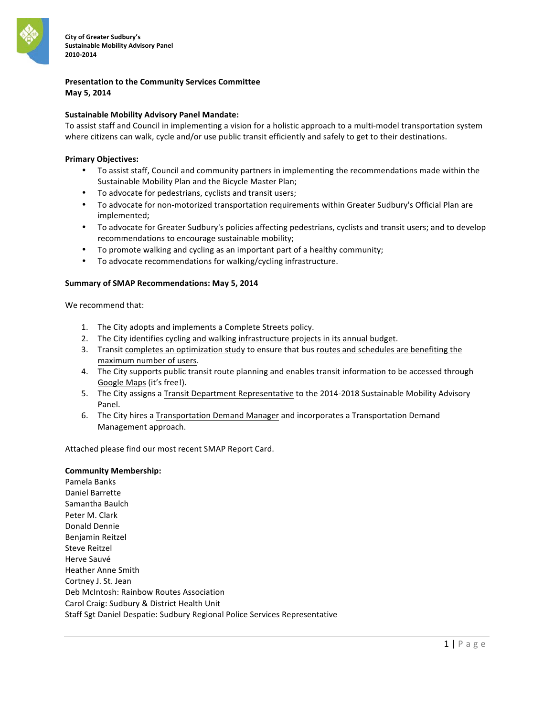

**City of Greater Sudbury's Sustainable Mobility Advisory Panel 2010-2014**

#### **Presentation to the Community Services Committee May 5, 2014**

#### **Sustainable Mobility Advisory Panel Mandate:**

To assist staff and Council in implementing a vision for a holistic approach to a multi-model transportation system where citizens can walk, cycle and/or use public transit efficiently and safely to get to their destinations.

#### **Primary Objectives:**

- To assist staff, Council and community partners in implementing the recommendations made within the Sustainable Mobility Plan and the Bicycle Master Plan;
- To advocate for pedestrians, cyclists and transit users;
- To advocate for non-motorized transportation requirements within Greater Sudbury's Official Plan are implemented;
- To advocate for Greater Sudbury's policies affecting pedestrians, cyclists and transit users; and to develop recommendations to encourage sustainable mobility;
- To promote walking and cycling as an important part of a healthy community;
- To advocate recommendations for walking/cycling infrastructure.

#### **Summary of SMAP Recommendations: May 5, 2014**

We recommend that:

- 1. The City adopts and implements a Complete Streets policy.
- 2. The City identifies cycling and walking infrastructure projects in its annual budget.
- 3. Transit completes an optimization study to ensure that bus routes and schedules are benefiting the maximum number of users.
- 4. The City supports public transit route planning and enables transit information to be accessed through Google Maps (it's free!).
- 5. The City assigns a Transit Department Representative to the 2014-2018 Sustainable Mobility Advisory Panel.
- 6. The City hires a Transportation Demand Manager and incorporates a Transportation Demand Management approach.

Attached please find our most recent SMAP Report Card.

#### **Community Membership:**

Pamela Banks Daniel Barrette Samantha Baulch Peter M. Clark Donald Dennie Benjamin Reitzel Steve Reitzel Herve Sauvé Heather Anne Smith Cortney J. St. Jean Deb McIntosh: Rainbow Routes Association Carol Craig: Sudbury & District Health Unit Staff Sgt Daniel Despatie: Sudbury Regional Police Services Representative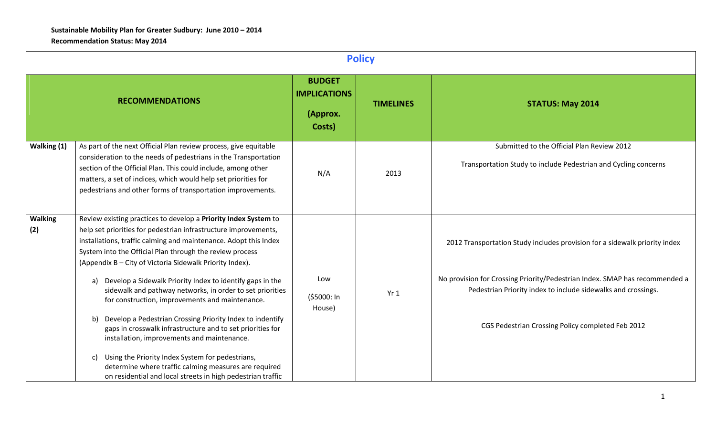|                       | <b>Policy</b>                                                                                                                                                                                                                                                                                                                                                                                                                                                                                                                                                                                                                                                                                                                                                                                                                                                                       |                                                            |                  |                                                                                                                                                                                                                                                                                 |  |  |
|-----------------------|-------------------------------------------------------------------------------------------------------------------------------------------------------------------------------------------------------------------------------------------------------------------------------------------------------------------------------------------------------------------------------------------------------------------------------------------------------------------------------------------------------------------------------------------------------------------------------------------------------------------------------------------------------------------------------------------------------------------------------------------------------------------------------------------------------------------------------------------------------------------------------------|------------------------------------------------------------|------------------|---------------------------------------------------------------------------------------------------------------------------------------------------------------------------------------------------------------------------------------------------------------------------------|--|--|
|                       | <b>RECOMMENDATIONS</b>                                                                                                                                                                                                                                                                                                                                                                                                                                                                                                                                                                                                                                                                                                                                                                                                                                                              | <b>BUDGET</b><br><b>IMPLICATIONS</b><br>(Approx.<br>Costs) | <b>TIMELINES</b> | <b>STATUS: May 2014</b>                                                                                                                                                                                                                                                         |  |  |
| Walking (1)           | As part of the next Official Plan review process, give equitable<br>consideration to the needs of pedestrians in the Transportation<br>section of the Official Plan. This could include, among other<br>matters, a set of indices, which would help set priorities for<br>pedestrians and other forms of transportation improvements.                                                                                                                                                                                                                                                                                                                                                                                                                                                                                                                                               | N/A                                                        | 2013             | Submitted to the Official Plan Review 2012<br>Transportation Study to include Pedestrian and Cycling concerns                                                                                                                                                                   |  |  |
| <b>Walking</b><br>(2) | Review existing practices to develop a Priority Index System to<br>help set priorities for pedestrian infrastructure improvements,<br>installations, traffic calming and maintenance. Adopt this Index<br>System into the Official Plan through the review process<br>(Appendix B - City of Victoria Sidewalk Priority Index).<br>Develop a Sidewalk Priority Index to identify gaps in the<br>a)<br>sidewalk and pathway networks, in order to set priorities<br>for construction, improvements and maintenance.<br>Develop a Pedestrian Crossing Priority Index to indentify<br>b)<br>gaps in crosswalk infrastructure and to set priorities for<br>installation, improvements and maintenance.<br>Using the Priority Index System for pedestrians,<br>C)<br>determine where traffic calming measures are required<br>on residential and local streets in high pedestrian traffic | Low<br>(\$5000: In<br>House)                               | Yr1              | 2012 Transportation Study includes provision for a sidewalk priority index<br>No provision for Crossing Priority/Pedestrian Index. SMAP has recommended a<br>Pedestrian Priority index to include sidewalks and crossings.<br>CGS Pedestrian Crossing Policy completed Feb 2012 |  |  |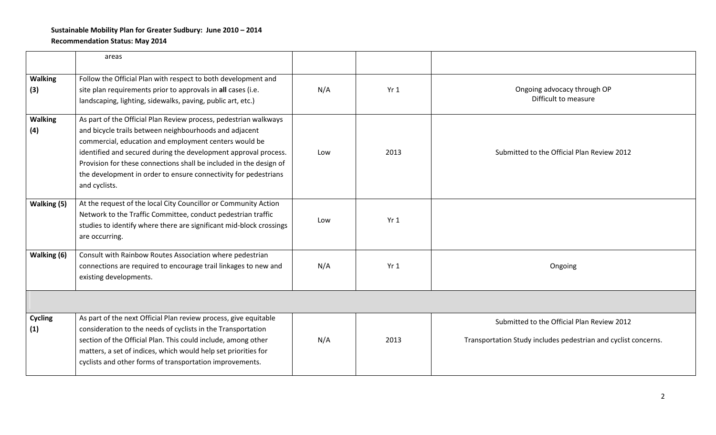|                       | areas                                                                                                                                                                                                                                                                                                                                                                                                            |     |      |                                                                                                              |
|-----------------------|------------------------------------------------------------------------------------------------------------------------------------------------------------------------------------------------------------------------------------------------------------------------------------------------------------------------------------------------------------------------------------------------------------------|-----|------|--------------------------------------------------------------------------------------------------------------|
| <b>Walking</b><br>(3) | Follow the Official Plan with respect to both development and<br>site plan requirements prior to approvals in all cases (i.e.<br>landscaping, lighting, sidewalks, paving, public art, etc.)                                                                                                                                                                                                                     | N/A | Yr1  | Ongoing advocacy through OP<br>Difficult to measure                                                          |
| <b>Walking</b><br>(4) | As part of the Official Plan Review process, pedestrian walkways<br>and bicycle trails between neighbourhoods and adjacent<br>commercial, education and employment centers would be<br>identified and secured during the development approval process.<br>Provision for these connections shall be included in the design of<br>the development in order to ensure connectivity for pedestrians<br>and cyclists. | Low | 2013 | Submitted to the Official Plan Review 2012                                                                   |
| Walking (5)           | At the request of the local City Councillor or Community Action<br>Network to the Traffic Committee, conduct pedestrian traffic<br>studies to identify where there are significant mid-block crossings<br>are occurring.                                                                                                                                                                                         | Low | Yr1  |                                                                                                              |
| Walking (6)           | Consult with Rainbow Routes Association where pedestrian<br>connections are required to encourage trail linkages to new and<br>existing developments.                                                                                                                                                                                                                                                            | N/A | Yr1  | Ongoing                                                                                                      |
|                       |                                                                                                                                                                                                                                                                                                                                                                                                                  |     |      |                                                                                                              |
| <b>Cycling</b><br>(1) | As part of the next Official Plan review process, give equitable<br>consideration to the needs of cyclists in the Transportation<br>section of the Official Plan. This could include, among other<br>matters, a set of indices, which would help set priorities for<br>cyclists and other forms of transportation improvements.                                                                                  | N/A | 2013 | Submitted to the Official Plan Review 2012<br>Transportation Study includes pedestrian and cyclist concerns. |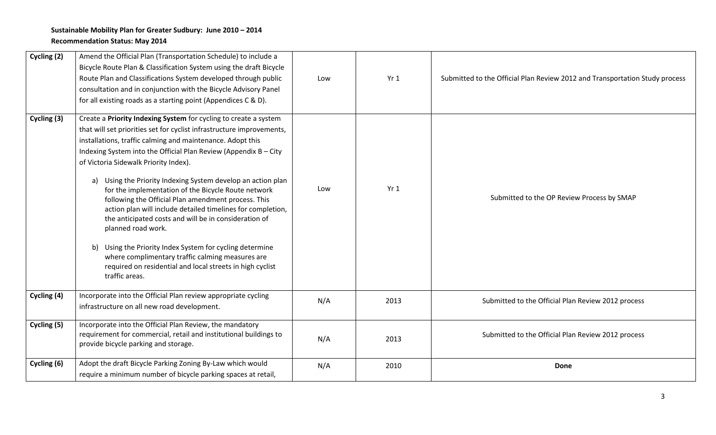| Cycling (2) | Amend the Official Plan (Transportation Schedule) to include a<br>Bicycle Route Plan & Classification System using the draft Bicycle<br>Route Plan and Classifications System developed through public<br>consultation and in conjunction with the Bicycle Advisory Panel<br>for all existing roads as a starting point (Appendices C & D).                                                                                                                                                                                                                                                                                                                                                                                                                                                                                                           | Low | Yr1  | Submitted to the Official Plan Review 2012 and Transportation Study process |
|-------------|-------------------------------------------------------------------------------------------------------------------------------------------------------------------------------------------------------------------------------------------------------------------------------------------------------------------------------------------------------------------------------------------------------------------------------------------------------------------------------------------------------------------------------------------------------------------------------------------------------------------------------------------------------------------------------------------------------------------------------------------------------------------------------------------------------------------------------------------------------|-----|------|-----------------------------------------------------------------------------|
| Cycling (3) | Create a Priority Indexing System for cycling to create a system<br>that will set priorities set for cyclist infrastructure improvements,<br>installations, traffic calming and maintenance. Adopt this<br>Indexing System into the Official Plan Review (Appendix B - City<br>of Victoria Sidewalk Priority Index).<br>Using the Priority Indexing System develop an action plan<br>a)<br>for the implementation of the Bicycle Route network<br>following the Official Plan amendment process. This<br>action plan will include detailed timelines for completion,<br>the anticipated costs and will be in consideration of<br>planned road work.<br>Using the Priority Index System for cycling determine<br>b)<br>where complimentary traffic calming measures are<br>required on residential and local streets in high cyclist<br>traffic areas. | Low | Yr1  | Submitted to the OP Review Process by SMAP                                  |
| Cycling (4) | Incorporate into the Official Plan review appropriate cycling<br>infrastructure on all new road development.                                                                                                                                                                                                                                                                                                                                                                                                                                                                                                                                                                                                                                                                                                                                          | N/A | 2013 | Submitted to the Official Plan Review 2012 process                          |
| Cycling (5) | Incorporate into the Official Plan Review, the mandatory<br>requirement for commercial, retail and institutional buildings to<br>provide bicycle parking and storage.                                                                                                                                                                                                                                                                                                                                                                                                                                                                                                                                                                                                                                                                                 | N/A | 2013 | Submitted to the Official Plan Review 2012 process                          |
| Cycling (6) | Adopt the draft Bicycle Parking Zoning By-Law which would<br>require a minimum number of bicycle parking spaces at retail,                                                                                                                                                                                                                                                                                                                                                                                                                                                                                                                                                                                                                                                                                                                            | N/A | 2010 | <b>Done</b>                                                                 |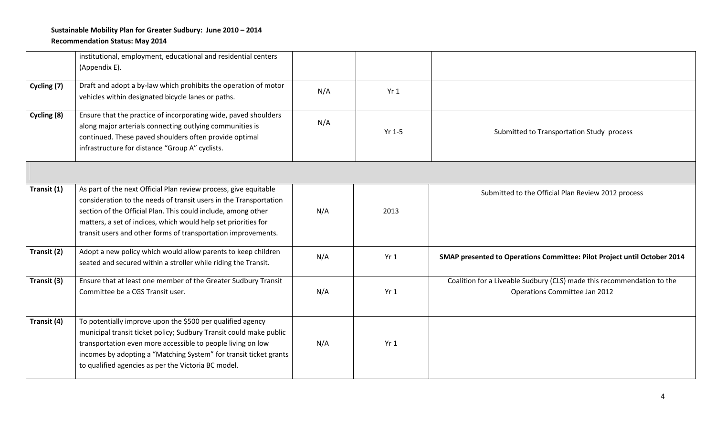|             | institutional, employment, educational and residential centers<br>(Appendix E).                                                                                                                                                                                                                                                           |     |          |                                                                                                         |
|-------------|-------------------------------------------------------------------------------------------------------------------------------------------------------------------------------------------------------------------------------------------------------------------------------------------------------------------------------------------|-----|----------|---------------------------------------------------------------------------------------------------------|
| Cycling (7) | Draft and adopt a by-law which prohibits the operation of motor<br>vehicles within designated bicycle lanes or paths.                                                                                                                                                                                                                     | N/A | Yr1      |                                                                                                         |
| Cycling (8) | Ensure that the practice of incorporating wide, paved shoulders<br>along major arterials connecting outlying communities is<br>continued. These paved shoulders often provide optimal<br>infrastructure for distance "Group A" cyclists.                                                                                                  | N/A | $Yr$ 1-5 | Submitted to Transportation Study process                                                               |
|             |                                                                                                                                                                                                                                                                                                                                           |     |          |                                                                                                         |
| Transit (1) | As part of the next Official Plan review process, give equitable<br>consideration to the needs of transit users in the Transportation<br>section of the Official Plan. This could include, among other<br>matters, a set of indices, which would help set priorities for<br>transit users and other forms of transportation improvements. | N/A | 2013     | Submitted to the Official Plan Review 2012 process                                                      |
| Transit (2) | Adopt a new policy which would allow parents to keep children<br>seated and secured within a stroller while riding the Transit.                                                                                                                                                                                                           | N/A | Yr1      | SMAP presented to Operations Committee: Pilot Project until October 2014                                |
| Transit (3) | Ensure that at least one member of the Greater Sudbury Transit<br>Committee be a CGS Transit user.                                                                                                                                                                                                                                        | N/A | Yr1      | Coalition for a Liveable Sudbury (CLS) made this recommendation to the<br>Operations Committee Jan 2012 |
| Transit (4) | To potentially improve upon the \$500 per qualified agency<br>municipal transit ticket policy; Sudbury Transit could make public<br>transportation even more accessible to people living on low<br>incomes by adopting a "Matching System" for transit ticket grants<br>to qualified agencies as per the Victoria BC model.               | N/A | Yr1      |                                                                                                         |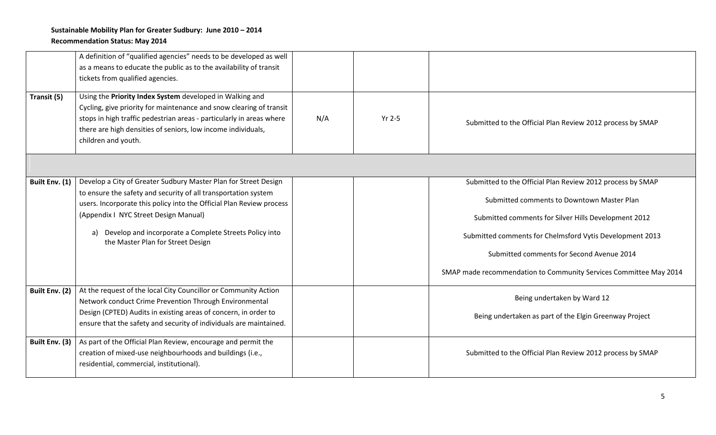|                | A definition of "qualified agencies" needs to be developed as well<br>as a means to educate the public as to the availability of transit<br>tickets from qualified agencies.                                                                                                                   |     |          |                                                                   |
|----------------|------------------------------------------------------------------------------------------------------------------------------------------------------------------------------------------------------------------------------------------------------------------------------------------------|-----|----------|-------------------------------------------------------------------|
| Transit (5)    | Using the Priority Index System developed in Walking and<br>Cycling, give priority for maintenance and snow clearing of transit<br>stops in high traffic pedestrian areas - particularly in areas where<br>there are high densities of seniors, low income individuals,<br>children and youth. | N/A | $Yr$ 2-5 | Submitted to the Official Plan Review 2012 process by SMAP        |
|                |                                                                                                                                                                                                                                                                                                |     |          |                                                                   |
| Built Env. (1) | Develop a City of Greater Sudbury Master Plan for Street Design                                                                                                                                                                                                                                |     |          | Submitted to the Official Plan Review 2012 process by SMAP        |
|                | to ensure the safety and security of all transportation system                                                                                                                                                                                                                                 |     |          | Submitted comments to Downtown Master Plan                        |
|                | users. Incorporate this policy into the Official Plan Review process<br>(Appendix I NYC Street Design Manual)                                                                                                                                                                                  |     |          |                                                                   |
|                |                                                                                                                                                                                                                                                                                                |     |          | Submitted comments for Silver Hills Development 2012              |
|                | Develop and incorporate a Complete Streets Policy into<br>a)<br>the Master Plan for Street Design                                                                                                                                                                                              |     |          | Submitted comments for Chelmsford Vytis Development 2013          |
|                |                                                                                                                                                                                                                                                                                                |     |          | Submitted comments for Second Avenue 2014                         |
|                |                                                                                                                                                                                                                                                                                                |     |          | SMAP made recommendation to Community Services Committee May 2014 |
| Built Env. (2) | At the request of the local City Councillor or Community Action                                                                                                                                                                                                                                |     |          | Being undertaken by Ward 12                                       |
|                | Network conduct Crime Prevention Through Environmental                                                                                                                                                                                                                                         |     |          |                                                                   |
|                | Design (CPTED) Audits in existing areas of concern, in order to<br>ensure that the safety and security of individuals are maintained.                                                                                                                                                          |     |          | Being undertaken as part of the Elgin Greenway Project            |
|                |                                                                                                                                                                                                                                                                                                |     |          |                                                                   |
| Built Env. (3) | As part of the Official Plan Review, encourage and permit the                                                                                                                                                                                                                                  |     |          |                                                                   |
|                | creation of mixed-use neighbourhoods and buildings (i.e.,<br>residential, commercial, institutional).                                                                                                                                                                                          |     |          | Submitted to the Official Plan Review 2012 process by SMAP        |
|                |                                                                                                                                                                                                                                                                                                |     |          |                                                                   |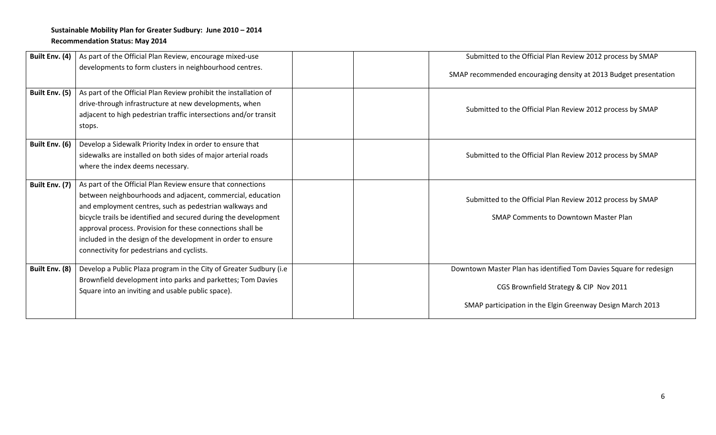| Built Env. (4) | As part of the Official Plan Review, encourage mixed-use                                                                                                                                                                                                                                                                                                                                                                            | Submitted to the Official Plan Review 2012 process by SMAP                                                                                                                 |
|----------------|-------------------------------------------------------------------------------------------------------------------------------------------------------------------------------------------------------------------------------------------------------------------------------------------------------------------------------------------------------------------------------------------------------------------------------------|----------------------------------------------------------------------------------------------------------------------------------------------------------------------------|
|                | developments to form clusters in neighbourhood centres.                                                                                                                                                                                                                                                                                                                                                                             | SMAP recommended encouraging density at 2013 Budget presentation                                                                                                           |
| Built Env. (5) | As part of the Official Plan Review prohibit the installation of<br>drive-through infrastructure at new developments, when<br>adjacent to high pedestrian traffic intersections and/or transit<br>stops.                                                                                                                                                                                                                            | Submitted to the Official Plan Review 2012 process by SMAP                                                                                                                 |
| Built Env. (6) | Develop a Sidewalk Priority Index in order to ensure that<br>sidewalks are installed on both sides of major arterial roads<br>where the index deems necessary.                                                                                                                                                                                                                                                                      | Submitted to the Official Plan Review 2012 process by SMAP                                                                                                                 |
| Built Env. (7) | As part of the Official Plan Review ensure that connections<br>between neighbourhoods and adjacent, commercial, education<br>and employment centres, such as pedestrian walkways and<br>bicycle trails be identified and secured during the development<br>approval process. Provision for these connections shall be<br>included in the design of the development in order to ensure<br>connectivity for pedestrians and cyclists. | Submitted to the Official Plan Review 2012 process by SMAP<br><b>SMAP Comments to Downtown Master Plan</b>                                                                 |
| Built Env. (8) | Develop a Public Plaza program in the City of Greater Sudbury (i.e<br>Brownfield development into parks and parkettes; Tom Davies<br>Square into an inviting and usable public space).                                                                                                                                                                                                                                              | Downtown Master Plan has identified Tom Davies Square for redesign<br>CGS Brownfield Strategy & CIP Nov 2011<br>SMAP participation in the Elgin Greenway Design March 2013 |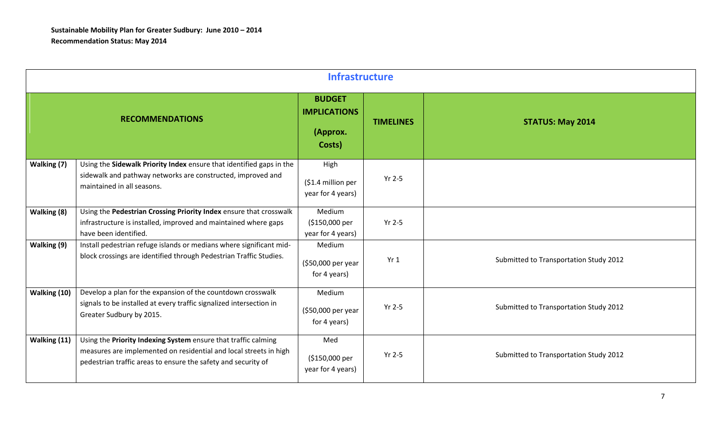|              | <b>Infrastructure</b>                                                                                                                                                                                |                                                            |                  |                                        |  |  |
|--------------|------------------------------------------------------------------------------------------------------------------------------------------------------------------------------------------------------|------------------------------------------------------------|------------------|----------------------------------------|--|--|
|              | <b>RECOMMENDATIONS</b>                                                                                                                                                                               | <b>BUDGET</b><br><b>IMPLICATIONS</b><br>(Approx.<br>Costs) | <b>TIMELINES</b> | <b>STATUS: May 2014</b>                |  |  |
| Walking (7)  | Using the Sidewalk Priority Index ensure that identified gaps in the<br>sidewalk and pathway networks are constructed, improved and<br>maintained in all seasons.                                    | High<br>(\$1.4 million per<br>year for 4 years)            | $Yr$ 2-5         |                                        |  |  |
| Walking (8)  | Using the Pedestrian Crossing Priority Index ensure that crosswalk<br>infrastructure is installed, improved and maintained where gaps<br>have been identified.                                       | Medium<br>(\$150,000 per<br>year for 4 years)              | $Yr$ 2-5         |                                        |  |  |
| Walking (9)  | Install pedestrian refuge islands or medians where significant mid-<br>block crossings are identified through Pedestrian Traffic Studies.                                                            | Medium<br>(\$50,000 per year<br>for 4 years)               | Yr1              | Submitted to Transportation Study 2012 |  |  |
| Walking (10) | Develop a plan for the expansion of the countdown crosswalk<br>signals to be installed at every traffic signalized intersection in<br>Greater Sudbury by 2015.                                       | Medium<br>(\$50,000 per year<br>for 4 years)               | $Yr$ 2-5         | Submitted to Transportation Study 2012 |  |  |
| Walking (11) | Using the Priority Indexing System ensure that traffic calming<br>measures are implemented on residential and local streets in high<br>pedestrian traffic areas to ensure the safety and security of | Med<br>(\$150,000 per<br>year for 4 years)                 | $Yr$ 2-5         | Submitted to Transportation Study 2012 |  |  |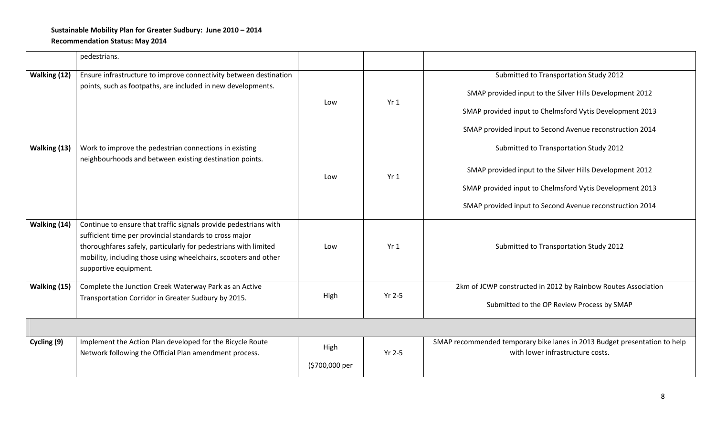|              | pedestrians.                                                                                                                                                                                                                                                                               |                        |          |                                                                                                                                                                                                                            |
|--------------|--------------------------------------------------------------------------------------------------------------------------------------------------------------------------------------------------------------------------------------------------------------------------------------------|------------------------|----------|----------------------------------------------------------------------------------------------------------------------------------------------------------------------------------------------------------------------------|
| Walking (12) | Ensure infrastructure to improve connectivity between destination<br>points, such as footpaths, are included in new developments.                                                                                                                                                          | Low                    | Yr1      | Submitted to Transportation Study 2012<br>SMAP provided input to the Silver Hills Development 2012<br>SMAP provided input to Chelmsford Vytis Development 2013<br>SMAP provided input to Second Avenue reconstruction 2014 |
| Walking (13) | Work to improve the pedestrian connections in existing<br>neighbourhoods and between existing destination points.                                                                                                                                                                          | Low                    | Yr1      | Submitted to Transportation Study 2012<br>SMAP provided input to the Silver Hills Development 2012<br>SMAP provided input to Chelmsford Vytis Development 2013<br>SMAP provided input to Second Avenue reconstruction 2014 |
| Walking (14) | Continue to ensure that traffic signals provide pedestrians with<br>sufficient time per provincial standards to cross major<br>thoroughfares safely, particularly for pedestrians with limited<br>mobility, including those using wheelchairs, scooters and other<br>supportive equipment. | Low                    | Yr1      | Submitted to Transportation Study 2012                                                                                                                                                                                     |
| Walking (15) | Complete the Junction Creek Waterway Park as an Active<br>Transportation Corridor in Greater Sudbury by 2015.                                                                                                                                                                              | High                   | $Yr$ 2-5 | 2km of JCWP constructed in 2012 by Rainbow Routes Association<br>Submitted to the OP Review Process by SMAP                                                                                                                |
|              |                                                                                                                                                                                                                                                                                            |                        |          |                                                                                                                                                                                                                            |
| Cycling (9)  | Implement the Action Plan developed for the Bicycle Route<br>Network following the Official Plan amendment process.                                                                                                                                                                        | High<br>(\$700,000 per | Yr 2-5   | SMAP recommended temporary bike lanes in 2013 Budget presentation to help<br>with lower infrastructure costs.                                                                                                              |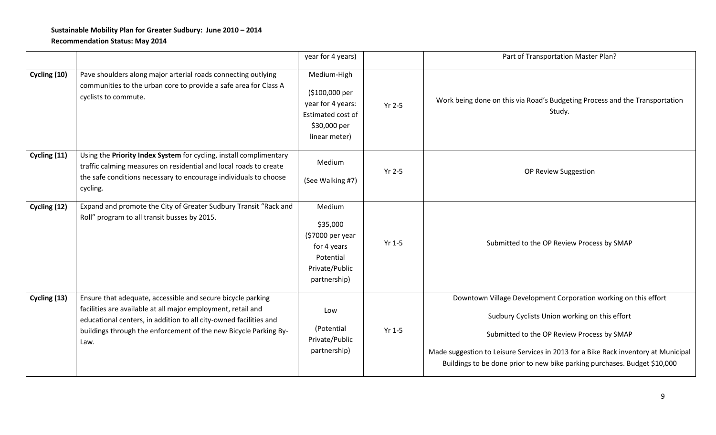# **Sustainable Mobility Plan for Greater Sudbury: June 2010 – 2014**

|              |                                                                                                                                                                                                                                                                              | year for 4 years)                                                                                        |          | Part of Transportation Master Plan?                                                                                                                                                                                                                                                                                               |
|--------------|------------------------------------------------------------------------------------------------------------------------------------------------------------------------------------------------------------------------------------------------------------------------------|----------------------------------------------------------------------------------------------------------|----------|-----------------------------------------------------------------------------------------------------------------------------------------------------------------------------------------------------------------------------------------------------------------------------------------------------------------------------------|
| Cycling (10) | Pave shoulders along major arterial roads connecting outlying<br>communities to the urban core to provide a safe area for Class A<br>cyclists to commute.                                                                                                                    | Medium-High<br>(\$100,000 per<br>year for 4 years:<br>Estimated cost of<br>\$30,000 per<br>linear meter) | $Yr$ 2-5 | Work being done on this via Road's Budgeting Process and the Transportation<br>Study.                                                                                                                                                                                                                                             |
| Cycling (11) | Using the Priority Index System for cycling, install complimentary<br>traffic calming measures on residential and local roads to create<br>the safe conditions necessary to encourage individuals to choose<br>cycling.                                                      | Medium<br>(See Walking #7)                                                                               | $Yr$ 2-5 | OP Review Suggestion                                                                                                                                                                                                                                                                                                              |
| Cycling (12) | Expand and promote the City of Greater Sudbury Transit "Rack and<br>Roll" program to all transit busses by 2015.                                                                                                                                                             | Medium<br>\$35,000<br>(\$7000 per year<br>for 4 years<br>Potential<br>Private/Public<br>partnership)     | $Yr$ 1-5 | Submitted to the OP Review Process by SMAP                                                                                                                                                                                                                                                                                        |
| Cycling (13) | Ensure that adequate, accessible and secure bicycle parking<br>facilities are available at all major employment, retail and<br>educational centers, in addition to all city-owned facilities and<br>buildings through the enforcement of the new Bicycle Parking By-<br>Law. | Low<br>(Potential<br>Private/Public<br>partnership)                                                      | $Yr$ 1-5 | Downtown Village Development Corporation working on this effort<br>Sudbury Cyclists Union working on this effort<br>Submitted to the OP Review Process by SMAP<br>Made suggestion to Leisure Services in 2013 for a Bike Rack inventory at Municipal<br>Buildings to be done prior to new bike parking purchases. Budget \$10,000 |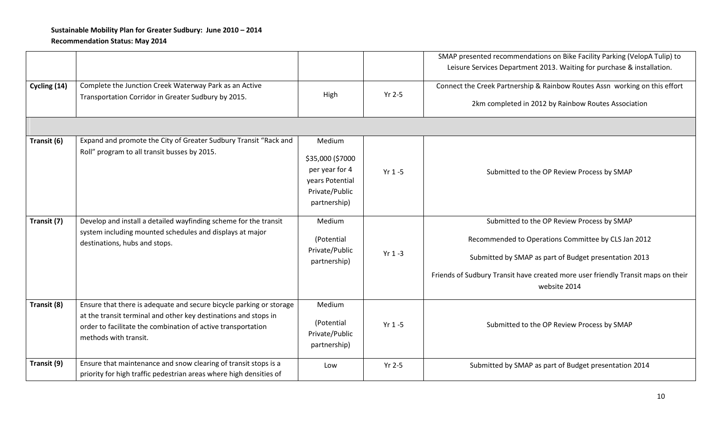# **Sustainable Mobility Plan for Greater Sudbury: June 2010 – 2014**

|              |                                                                                                                                                                                                                                 |                                                                                         |            | SMAP presented recommendations on Bike Facility Parking (VelopA Tulip) to                                                                                                                                        |
|--------------|---------------------------------------------------------------------------------------------------------------------------------------------------------------------------------------------------------------------------------|-----------------------------------------------------------------------------------------|------------|------------------------------------------------------------------------------------------------------------------------------------------------------------------------------------------------------------------|
|              |                                                                                                                                                                                                                                 |                                                                                         |            | Leisure Services Department 2013. Waiting for purchase & installation.                                                                                                                                           |
|              |                                                                                                                                                                                                                                 |                                                                                         |            |                                                                                                                                                                                                                  |
| Cycling (14) | Complete the Junction Creek Waterway Park as an Active                                                                                                                                                                          |                                                                                         |            | Connect the Creek Partnership & Rainbow Routes Assn working on this effort                                                                                                                                       |
|              | Transportation Corridor in Greater Sudbury by 2015.                                                                                                                                                                             | High                                                                                    | $Yr$ 2-5   | 2km completed in 2012 by Rainbow Routes Association                                                                                                                                                              |
|              |                                                                                                                                                                                                                                 |                                                                                         |            |                                                                                                                                                                                                                  |
| Transit (6)  | Expand and promote the City of Greater Sudbury Transit "Rack and                                                                                                                                                                | Medium                                                                                  |            |                                                                                                                                                                                                                  |
|              | Roll" program to all transit busses by 2015.                                                                                                                                                                                    | \$35,000 (\$7000<br>per year for 4<br>years Potential<br>Private/Public<br>partnership) | $Yr 1 - 5$ | Submitted to the OP Review Process by SMAP                                                                                                                                                                       |
| Transit (7)  | Develop and install a detailed wayfinding scheme for the transit                                                                                                                                                                | Medium                                                                                  |            | Submitted to the OP Review Process by SMAP                                                                                                                                                                       |
|              | system including mounted schedules and displays at major<br>destinations, hubs and stops.                                                                                                                                       | (Potential<br>Private/Public<br>partnership)                                            | $Yr 1 - 3$ | Recommended to Operations Committee by CLS Jan 2012<br>Submitted by SMAP as part of Budget presentation 2013<br>Friends of Sudbury Transit have created more user friendly Transit maps on their<br>website 2014 |
| Transit (8)  | Ensure that there is adequate and secure bicycle parking or storage<br>at the transit terminal and other key destinations and stops in<br>order to facilitate the combination of active transportation<br>methods with transit. | Medium<br>(Potential<br>Private/Public<br>partnership)                                  | $Yr 1 - 5$ | Submitted to the OP Review Process by SMAP                                                                                                                                                                       |
| Transit (9)  | Ensure that maintenance and snow clearing of transit stops is a<br>priority for high traffic pedestrian areas where high densities of                                                                                           | Low                                                                                     | $Yr$ 2-5   | Submitted by SMAP as part of Budget presentation 2014                                                                                                                                                            |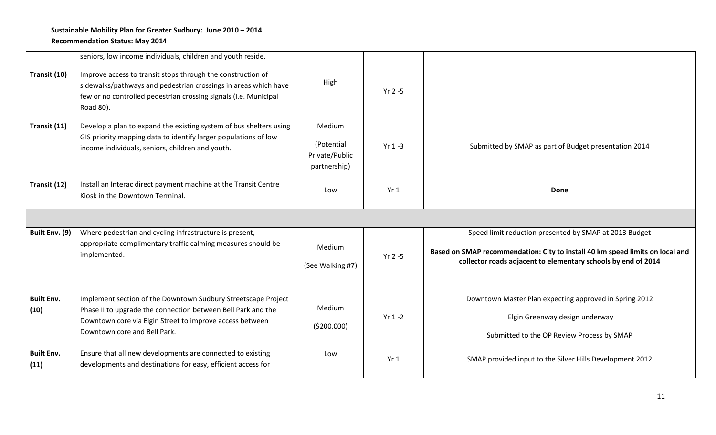|                           | seniors, low income individuals, children and youth reside.                                                                                                                                                               |                                                        |            |                                                                                                                                                                                                          |
|---------------------------|---------------------------------------------------------------------------------------------------------------------------------------------------------------------------------------------------------------------------|--------------------------------------------------------|------------|----------------------------------------------------------------------------------------------------------------------------------------------------------------------------------------------------------|
| Transit (10)              | Improve access to transit stops through the construction of<br>sidewalks/pathways and pedestrian crossings in areas which have<br>few or no controlled pedestrian crossing signals (i.e. Municipal<br>Road 80).           | High                                                   | $Yr$ 2 -5  |                                                                                                                                                                                                          |
| Transit (11)              | Develop a plan to expand the existing system of bus shelters using<br>GIS priority mapping data to identify larger populations of low<br>income individuals, seniors, children and youth.                                 | Medium<br>(Potential<br>Private/Public<br>partnership) | $Yr 1 - 3$ | Submitted by SMAP as part of Budget presentation 2014                                                                                                                                                    |
| Transit (12)              | Install an Interac direct payment machine at the Transit Centre<br>Kiosk in the Downtown Terminal.                                                                                                                        | Low                                                    | Yr1        | Done                                                                                                                                                                                                     |
|                           |                                                                                                                                                                                                                           |                                                        |            |                                                                                                                                                                                                          |
| Built Env. (9)            | Where pedestrian and cycling infrastructure is present,<br>appropriate complimentary traffic calming measures should be<br>implemented.                                                                                   | Medium<br>(See Walking #7)                             | $Yr$ 2 -5  | Speed limit reduction presented by SMAP at 2013 Budget<br>Based on SMAP recommendation: City to install 40 km speed limits on local and<br>collector roads adjacent to elementary schools by end of 2014 |
| <b>Built Env.</b><br>(10) | Implement section of the Downtown Sudbury Streetscape Project<br>Phase II to upgrade the connection between Bell Park and the<br>Downtown core via Elgin Street to improve access between<br>Downtown core and Bell Park. | Medium<br>(5200,000)                                   | $Yr 1 - 2$ | Downtown Master Plan expecting approved in Spring 2012<br>Elgin Greenway design underway<br>Submitted to the OP Review Process by SMAP                                                                   |
| <b>Built Env.</b><br>(11) | Ensure that all new developments are connected to existing<br>developments and destinations for easy, efficient access for                                                                                                | Low                                                    | Yr1        | SMAP provided input to the Silver Hills Development 2012                                                                                                                                                 |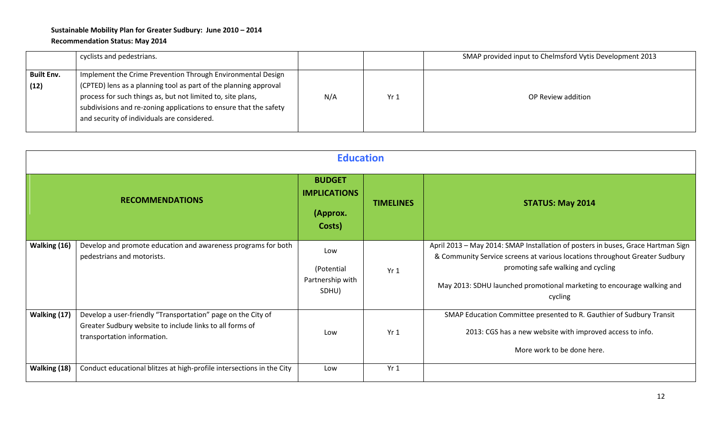|                           | cyclists and pedestrians.                                                                                                                                                                                                                                                                                          |     |                 | SMAP provided input to Chelmsford Vytis Development 2013 |
|---------------------------|--------------------------------------------------------------------------------------------------------------------------------------------------------------------------------------------------------------------------------------------------------------------------------------------------------------------|-----|-----------------|----------------------------------------------------------|
| <b>Built Env.</b><br>(12) | Implement the Crime Prevention Through Environmental Design<br>(CPTED) lens as a planning tool as part of the planning approval<br>process for such things as, but not limited to, site plans,<br>subdivisions and re-zoning applications to ensure that the safety<br>and security of individuals are considered. | N/A | Yr <sub>1</sub> | OP Review addition                                       |

| <b>Education</b>       |                                                                                                                                                         |                                                            |                  |                                                                                                                                                                                                                                                                                            |  |  |  |
|------------------------|---------------------------------------------------------------------------------------------------------------------------------------------------------|------------------------------------------------------------|------------------|--------------------------------------------------------------------------------------------------------------------------------------------------------------------------------------------------------------------------------------------------------------------------------------------|--|--|--|
| <b>RECOMMENDATIONS</b> |                                                                                                                                                         | <b>BUDGET</b><br><b>IMPLICATIONS</b><br>(Approx.<br>Costs) | <b>TIMELINES</b> | <b>STATUS: May 2014</b>                                                                                                                                                                                                                                                                    |  |  |  |
| Walking (16)           | Develop and promote education and awareness programs for both<br>pedestrians and motorists.                                                             | Low<br>(Potential<br>Partnership with<br>SDHU)             | Yr1              | April 2013 - May 2014: SMAP Installation of posters in buses, Grace Hartman Sign<br>& Community Service screens at various locations throughout Greater Sudbury<br>promoting safe walking and cycling<br>May 2013: SDHU launched promotional marketing to encourage walking and<br>cycling |  |  |  |
| Walking (17)           | Develop a user-friendly "Transportation" page on the City of<br>Greater Sudbury website to include links to all forms of<br>transportation information. | Low                                                        | Yr1              | SMAP Education Committee presented to R. Gauthier of Sudbury Transit<br>2013: CGS has a new website with improved access to info.<br>More work to be done here.                                                                                                                            |  |  |  |
| Walking (18)           | Conduct educational blitzes at high-profile intersections in the City                                                                                   | Low                                                        | Yr <sub>1</sub>  |                                                                                                                                                                                                                                                                                            |  |  |  |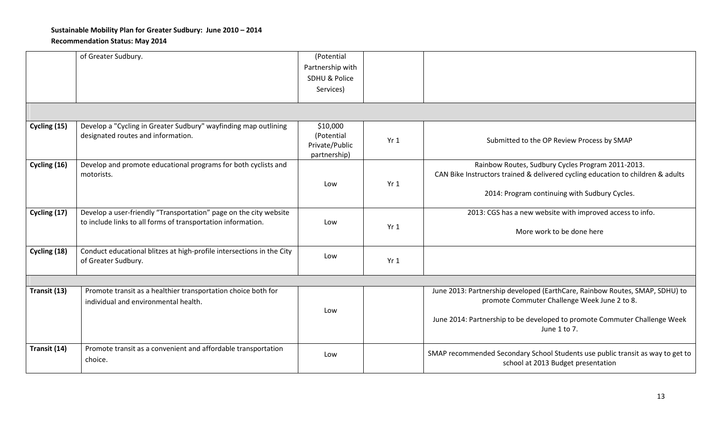### **Sustainable Mobility Plan for Greater Sudbury: June 2010 – 2014**

|              | of Greater Sudbury.                                                                                   | (Potential                                               |     |                                                                                           |
|--------------|-------------------------------------------------------------------------------------------------------|----------------------------------------------------------|-----|-------------------------------------------------------------------------------------------|
|              |                                                                                                       | Partnership with                                         |     |                                                                                           |
|              |                                                                                                       | <b>SDHU &amp; Police</b>                                 |     |                                                                                           |
|              |                                                                                                       | Services)                                                |     |                                                                                           |
|              |                                                                                                       |                                                          |     |                                                                                           |
|              |                                                                                                       |                                                          |     |                                                                                           |
| Cycling (15) | Develop a "Cycling in Greater Sudbury" wayfinding map outlining<br>designated routes and information. | \$10,000<br>(Potential<br>Private/Public<br>partnership) | Yr1 | Submitted to the OP Review Process by SMAP                                                |
| Cycling (16) | Develop and promote educational programs for both cyclists and                                        |                                                          |     | Rainbow Routes, Sudbury Cycles Program 2011-2013.                                         |
|              | motorists.                                                                                            |                                                          |     | CAN Bike Instructors trained & delivered cycling education to children & adults           |
|              |                                                                                                       | Low                                                      | Yr1 |                                                                                           |
|              |                                                                                                       |                                                          |     | 2014: Program continuing with Sudbury Cycles.                                             |
| Cycling (17) | Develop a user-friendly "Transportation" page on the city website                                     |                                                          |     | 2013: CGS has a new website with improved access to info.                                 |
|              | to include links to all forms of transportation information.                                          | Low                                                      |     |                                                                                           |
|              |                                                                                                       |                                                          | Yr1 | More work to be done here                                                                 |
|              |                                                                                                       |                                                          |     |                                                                                           |
| Cycling (18) | Conduct educational blitzes at high-profile intersections in the City                                 | Low                                                      |     |                                                                                           |
|              | of Greater Sudbury.                                                                                   |                                                          | Yr1 |                                                                                           |
|              |                                                                                                       |                                                          |     |                                                                                           |
| Transit (13) | Promote transit as a healthier transportation choice both for                                         |                                                          |     | June 2013: Partnership developed (EarthCare, Rainbow Routes, SMAP, SDHU) to               |
|              | individual and environmental health.                                                                  |                                                          |     | promote Commuter Challenge Week June 2 to 8.                                              |
|              |                                                                                                       | Low                                                      |     |                                                                                           |
|              |                                                                                                       |                                                          |     | June 2014: Partnership to be developed to promote Commuter Challenge Week<br>June 1 to 7. |
|              |                                                                                                       |                                                          |     |                                                                                           |
| Transit (14) | Promote transit as a convenient and affordable transportation                                         |                                                          |     | SMAP recommended Secondary School Students use public transit as way to get to            |
|              | choice.                                                                                               | Low                                                      |     | school at 2013 Budget presentation                                                        |